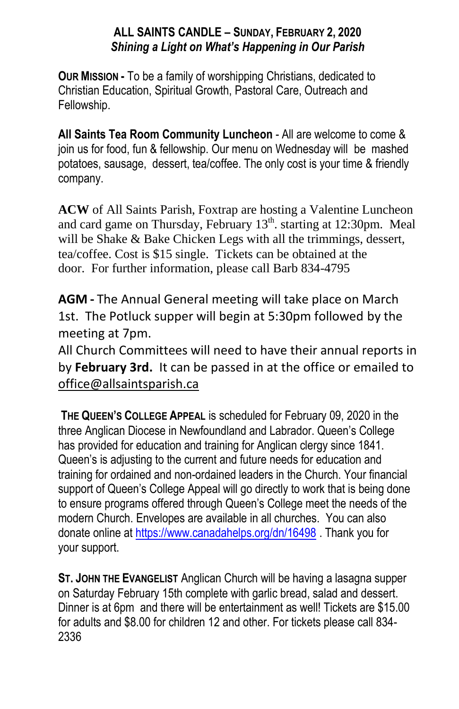### **ALL SAINTS CANDLE – SUNDAY, FEBRUARY 2, 2020** *Shining a Light on What's Happening in Our Parish*

**OUR MISSION -** To be a family of worshipping Christians, dedicated to Christian Education, Spiritual Growth, Pastoral Care, Outreach and Fellowship.

**All Saints Tea Room Community Luncheon** - All are welcome to come & join us for food, fun & fellowship. Our menu on Wednesday will be mashed potatoes, sausage, dessert, tea/coffee. The only cost is your time & friendly company.

**ACW** of All Saints Parish, Foxtrap are hosting a Valentine Luncheon and card game on Thursday, February  $13<sup>th</sup>$ , starting at 12:30pm. Meal will be Shake & Bake Chicken Legs with all the trimmings, dessert, tea/coffee. Cost is \$15 single. Tickets can be obtained at the door. For further information, please call Barb 834-4795

**AGM -** The Annual General meeting will take place on March 1st. The Potluck supper will begin at 5:30pm followed by the meeting at 7pm.

All Church Committees will need to have their annual reports in by **February 3rd.** It can be passed in at the office or emailed to office@allsaintsparish.ca

**THE QUEEN'S COLLEGE APPEAL** is scheduled for February 09, 2020 in the three Anglican Diocese in Newfoundland and Labrador. Queen's College has provided for education and training for Anglican clergy since 1841. Queen's is adjusting to the current and future needs for education and training for ordained and non-ordained leaders in the Church. Your financial support of Queen's College Appeal will go directly to work that is being done to ensure programs offered through Queen's College meet the needs of the modern Church. Envelopes are available in all churches. You can also donate online at<https://www.canadahelps.org/dn/16498> . Thank you for your support.

**ST. JOHN THE EVANGELIST** Anglican Church will be having a lasagna supper on Saturday February 15th complete with garlic bread, salad and dessert. Dinner is at 6pm and there will be entertainment as well! Tickets are \$15.00 for adults and \$8.00 for children 12 and other. For tickets please call 834- 2336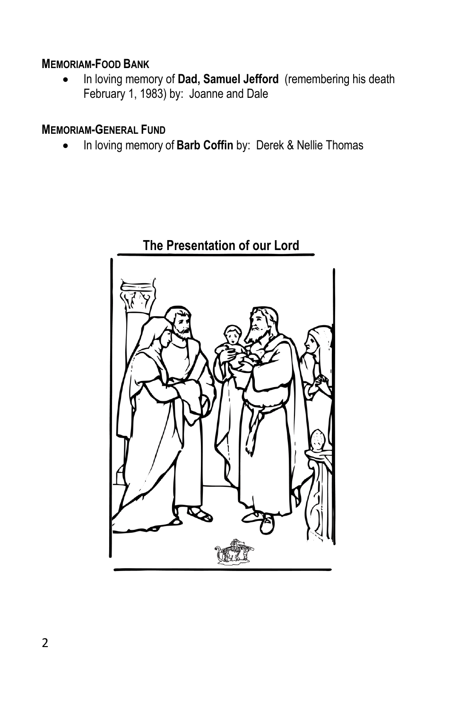### **MEMORIAM-FOOD BANK**

**•** In loving memory of Dad, Samuel Jefford (remembering his death February 1, 1983) by: Joanne and Dale

## **MEMORIAM-GENERAL FUND**

In loving memory of **Barb Coffin** by: Derek & Nellie Thomas

# **The Presentation of our Lord**